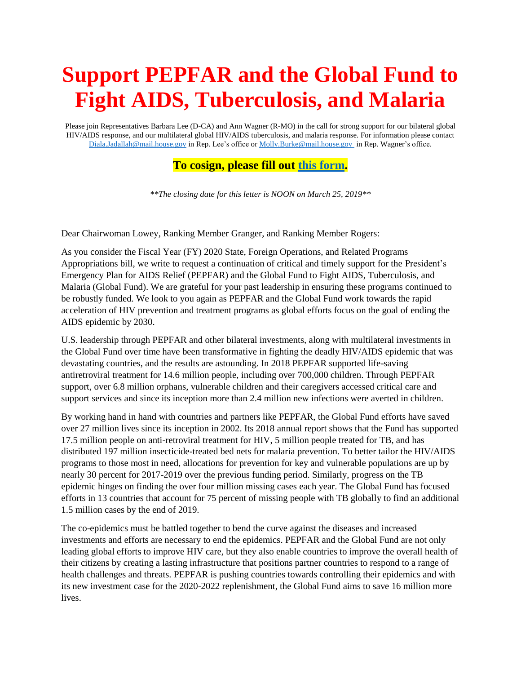## **Support PEPFAR and the Global Fund to Fight AIDS, Tuberculosis, and Malaria**

Please join Representatives Barbara Lee (D-CA) and Ann Wagner (R-MO) in the call for strong support for our bilateral global HIV/AIDS response, and our multilateral global HIV/AIDS tuberculosis, and malaria response. For information please contact [Diala.Jadallah@mail.house.gov](mailto:Diala.Jadallah@mail.house.gov) in Rep. Lee's office o[r Molly.Burke@mail.house.gov](mailto:Molly.Burke@mail.house.gov) in Rep. Wagner's office.

## **To cosign, please fill out [this form.](https://docs.google.com/forms/d/e/1FAIpQLScI6CSaYBkU1yVR366psY1shH5GWjVxdCM9Vv7E7x0AanKjnA/viewform?usp=sf_link)**

*\*\*The closing date for this letter is NOON on March 25, 2019\*\**

Dear Chairwoman Lowey, Ranking Member Granger, and Ranking Member Rogers:

As you consider the Fiscal Year (FY) 2020 State, Foreign Operations, and Related Programs Appropriations bill, we write to request a continuation of critical and timely support for the President's Emergency Plan for AIDS Relief (PEPFAR) and the Global Fund to Fight AIDS, Tuberculosis, and Malaria (Global Fund). We are grateful for your past leadership in ensuring these programs continued to be robustly funded. We look to you again as PEPFAR and the Global Fund work towards the rapid acceleration of HIV prevention and treatment programs as global efforts focus on the goal of ending the AIDS epidemic by 2030.

U.S. leadership through PEPFAR and other bilateral investments, along with multilateral investments in the Global Fund over time have been transformative in fighting the deadly HIV/AIDS epidemic that was devastating countries, and the results are astounding. In 2018 PEPFAR supported life-saving antiretroviral treatment for 14.6 million people, including over 700,000 children. Through PEPFAR support, over 6.8 million orphans, vulnerable children and their caregivers accessed critical care and support services and since its inception more than 2.4 million new infections were averted in children.

By working hand in hand with countries and partners like PEPFAR, the Global Fund efforts have saved over 27 million lives since its inception in 2002. Its 2018 annual report shows that the Fund has supported 17.5 million people on anti-retroviral treatment for HIV, 5 million people treated for TB, and has distributed 197 million insecticide-treated bed nets for malaria prevention. To better tailor the HIV/AIDS programs to those most in need, allocations for prevention for key and vulnerable populations are up by nearly 30 percent for 2017-2019 over the previous funding period. Similarly, progress on the TB epidemic hinges on finding the over four million missing cases each year. The Global Fund has focused efforts in 13 countries that account for 75 percent of missing people with TB globally to find an additional 1.5 million cases by the end of 2019.

The co-epidemics must be battled together to bend the curve against the diseases and increased investments and efforts are necessary to end the epidemics. PEPFAR and the Global Fund are not only leading global efforts to improve HIV care, but they also enable countries to improve the overall health of their citizens by creating a lasting infrastructure that positions partner countries to respond to a range of health challenges and threats. PEPFAR is pushing countries towards controlling their epidemics and with its new investment case for the 2020-2022 replenishment, the Global Fund aims to save 16 million more lives.